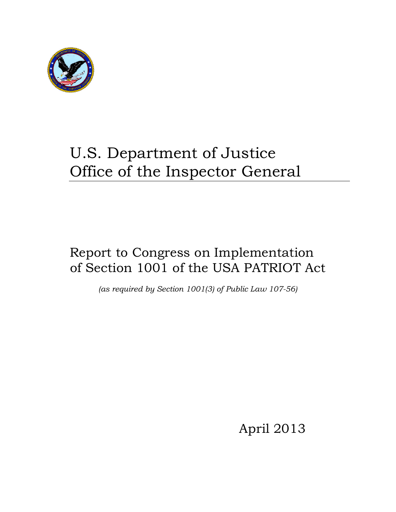

# U.S. Department of Justice Office of the Inspector General

# Report to Congress on Implementation of Section 1001 of the USA PATRIOT Act

*(as required by Section 1001(3) of Public Law 107-56)* 

April 2013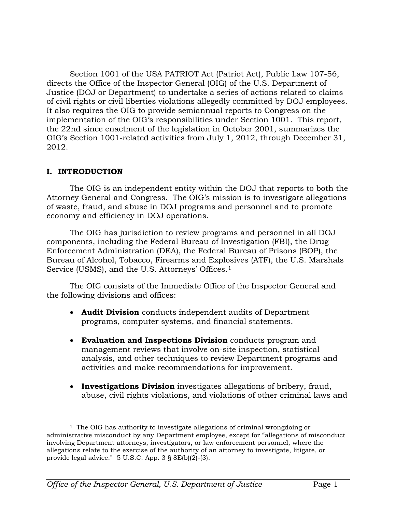Section 1001 of the USA PATRIOT Act (Patriot Act), Public Law 107-56, directs the Office of the Inspector General (OIG) of the U.S. Department of Justice (DOJ or Department) to undertake a series of actions related to claims of civil rights or civil liberties violations allegedly committed by DOJ employees. It also requires the OIG to provide semiannual reports to Congress on the implementation of the OIG's responsibilities under Section 1001. This report, the 22nd since enactment of the legislation in October 2001, summarizes the OIG's Section 1001-related activities from July 1, 2012, through December 31, 2012.

#### **I. INTRODUCTION**

The OIG is an independent entity within the DOJ that reports to both the Attorney General and Congress. The OIG's mission is to investigate allegations of waste, fraud, and abuse in DOJ programs and personnel and to promote economy and efficiency in DOJ operations.

The OIG has jurisdiction to review programs and personnel in all DOJ components, including the Federal Bureau of Investigation (FBI), the Drug Enforcement Administration (DEA), the Federal Bureau of Prisons (BOP), the Bureau of Alcohol, Tobacco, Firearms and Explosives (ATF), the U.S. Marshals Service (USMS), and the U.S. Attorneys' Offices.<sup>[1](#page-1-0)</sup>

The OIG consists of the Immediate Office of the Inspector General and the following divisions and offices:

- **Audit Division** conducts independent audits of Department programs, computer systems, and financial statements.
- **Evaluation and Inspections Division** conducts program and management reviews that involve on-site inspection, statistical analysis, and other techniques to review Department programs and activities and make recommendations for improvement.
- **Investigations Division** investigates allegations of bribery, fraud, abuse, civil rights violations, and violations of other criminal laws and

<span id="page-1-0"></span><sup>&</sup>lt;sup>1</sup> The OIG has authority to investigate allegations of criminal wrongdoing or administrative misconduct by any Department employee, except for "allegations of misconduct involving Department attorneys, investigators, or law enforcement personnel, where the allegations relate to the exercise of the authority of an attorney to investigate, litigate, or provide legal advice." 5 U.S.C. App. 3 § 8E(b)(2)-(3).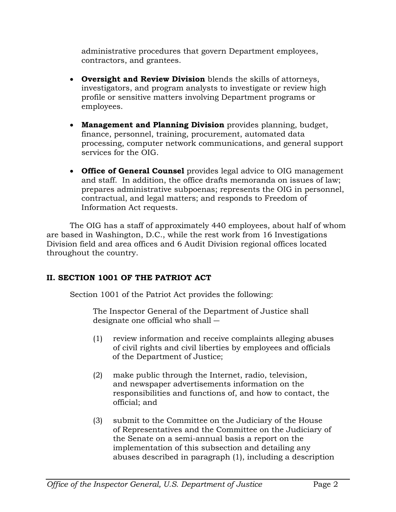administrative procedures that govern Department employees, contractors, and grantees.

- **Oversight and Review Division** blends the skills of attorneys, investigators, and program analysts to investigate or review high profile or sensitive matters involving Department programs or employees.
- **Management and Planning Division** provides planning, budget, finance, personnel, training, procurement, automated data processing, computer network communications, and general support services for the OIG.
- **Office of General Counsel** provides legal advice to OIG management and staff. In addition, the office drafts memoranda on issues of law; prepares administrative subpoenas; represents the OIG in personnel, contractual, and legal matters; and responds to Freedom of Information Act requests.

The OIG has a staff of approximately 440 employees, about half of whom are based in Washington, D.C., while the rest work from 16 Investigations Division field and area offices and 6 Audit Division regional offices located throughout the country.

# **II. SECTION 1001 OF THE PATRIOT ACT**

Section 1001 of the Patriot Act provides the following:

The Inspector General of the Department of Justice shall designate one official who shall ―

- (1) review information and receive complaints alleging abuses of civil rights and civil liberties by employees and officials of the Department of Justice;
- (2) make public through the Internet, radio, television, and newspaper advertisements information on the responsibilities and functions of, and how to contact, the official; and
- (3) submit to the Committee on the Judiciary of the House of Representatives and the Committee on the Judiciary of the Senate on a semi-annual basis a report on the implementation of this subsection and detailing any abuses described in paragraph (1), including a description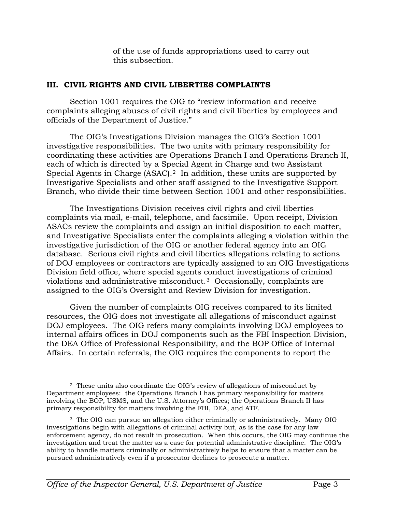of the use of funds appropriations used to carry out this subsection.

#### **III. CIVIL RIGHTS AND CIVIL LIBERTIES COMPLAINTS**

Section 1001 requires the OIG to "review information and receive complaints alleging abuses of civil rights and civil liberties by employees and officials of the Department of Justice."

The OIG's Investigations Division manages the OIG's Section 1001 investigative responsibilities. The two units with primary responsibility for coordinating these activities are Operations Branch I and Operations Branch II, each of which is directed by a Special Agent in Charge and two Assistant Special Agents in Charge (ASAC).<sup>[2](#page-3-0)</sup> In addition, these units are supported by Investigative Specialists and other staff assigned to the Investigative Support Branch, who divide their time between Section 1001 and other responsibilities.

The Investigations Division receives civil rights and civil liberties complaints via mail, e-mail, telephone, and facsimile. Upon receipt, Division ASACs review the complaints and assign an initial disposition to each matter, and Investigative Specialists enter the complaints alleging a violation within the investigative jurisdiction of the OIG or another federal agency into an OIG database. Serious civil rights and civil liberties allegations relating to actions of DOJ employees or contractors are typically assigned to an OIG Investigations Division field office, where special agents conduct investigations of criminal violations and administrative misconduct. [3](#page-3-1) Occasionally, complaints are assigned to the OIG's Oversight and Review Division for investigation.

Given the number of complaints OIG receives compared to its limited resources, the OIG does not investigate all allegations of misconduct against DOJ employees. The OIG refers many complaints involving DOJ employees to internal affairs offices in DOJ components such as the FBI Inspection Division, the DEA Office of Professional Responsibility, and the BOP Office of Internal Affairs. In certain referrals, the OIG requires the components to report the

<span id="page-3-0"></span> <sup>2</sup> These units also coordinate the OIG's review of allegations of misconduct by Department employees: the Operations Branch I has primary responsibility for matters involving the BOP, USMS, and the U.S. Attorney's Offices; the Operations Branch II has primary responsibility for matters involving the FBI, DEA, and ATF.

<span id="page-3-1"></span><sup>3</sup> The OIG can pursue an allegation either criminally or administratively. Many OIG investigations begin with allegations of criminal activity but, as is the case for any law enforcement agency, do not result in prosecution. When this occurs, the OIG may continue the investigation and treat the matter as a case for potential administrative discipline. The OIG's ability to handle matters criminally or administratively helps to ensure that a matter can be pursued administratively even if a prosecutor declines to prosecute a matter.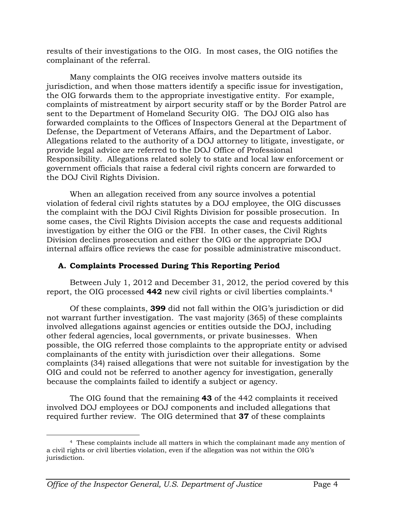results of their investigations to the OIG. In most cases, the OIG notifies the complainant of the referral.

Many complaints the OIG receives involve matters outside its jurisdiction, and when those matters identify a specific issue for investigation, the OIG forwards them to the appropriate investigative entity. For example, complaints of mistreatment by airport security staff or by the Border Patrol are sent to the Department of Homeland Security OIG. The DOJ OIG also has forwarded complaints to the Offices of Inspectors General at the Department of Defense, the Department of Veterans Affairs, and the Department of Labor. Allegations related to the authority of a DOJ attorney to litigate, investigate, or provide legal advice are referred to the DOJ Office of Professional Responsibility. Allegations related solely to state and local law enforcement or government officials that raise a federal civil rights concern are forwarded to the DOJ Civil Rights Division.

When an allegation received from any source involves a potential violation of federal civil rights statutes by a DOJ employee, the OIG discusses the complaint with the DOJ Civil Rights Division for possible prosecution. In some cases, the Civil Rights Division accepts the case and requests additional investigation by either the OIG or the FBI. In other cases, the Civil Rights Division declines prosecution and either the OIG or the appropriate DOJ internal affairs office reviews the case for possible administrative misconduct.

# **A. Complaints Processed During This Reporting Period**

Between July 1, 2012 and December 31, 2012, the period covered by this report, the OIG processed **442** new civil rights or civil liberties complaints.[4](#page-4-0)

Of these complaints, **399** did not fall within the OIG's jurisdiction or did not warrant further investigation. The vast majority (365) of these complaints involved allegations against agencies or entities outside the DOJ, including other federal agencies, local governments, or private businesses. When possible, the OIG referred those complaints to the appropriate entity or advised complainants of the entity with jurisdiction over their allegations. Some complaints (34) raised allegations that were not suitable for investigation by the OIG and could not be referred to another agency for investigation, generally because the complaints failed to identify a subject or agency.

The OIG found that the remaining **43** of the 442 complaints it received involved DOJ employees or DOJ components and included allegations that required further review. The OIG determined that **37** of these complaints

<span id="page-4-0"></span> <sup>4</sup> These complaints include all matters in which the complainant made any mention of a civil rights or civil liberties violation, even if the allegation was not within the OIG's jurisdiction.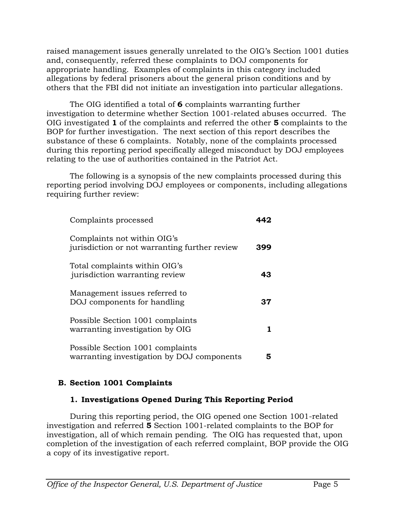raised management issues generally unrelated to the OIG's Section 1001 duties and, consequently, referred these complaints to DOJ components for appropriate handling. Examples of complaints in this category included allegations by federal prisoners about the general prison conditions and by others that the FBI did not initiate an investigation into particular allegations.

The OIG identified a total of **6** complaints warranting further investigation to determine whether Section 1001-related abuses occurred. The OIG investigated **1** of the complaints and referred the other **5** complaints to the BOP for further investigation. The next section of this report describes the substance of these 6 complaints. Notably, none of the complaints processed during this reporting period specifically alleged misconduct by DOJ employees relating to the use of authorities contained in the Patriot Act.

The following is a synopsis of the new complaints processed during this reporting period involving DOJ employees or components, including allegations requiring further review:

| Complaints processed                                                           | 449 |
|--------------------------------------------------------------------------------|-----|
| Complaints not within OIG's<br>jurisdiction or not warranting further review   | 399 |
| Total complaints within OIG's<br>jurisdiction warranting review                | 43  |
| Management issues referred to<br>DOJ components for handling                   | 37  |
| Possible Section 1001 complaints<br>warranting investigation by OIG            |     |
| Possible Section 1001 complaints<br>warranting investigation by DOJ components | 5   |

# **B. Section 1001 Complaints**

# **1. Investigations Opened During This Reporting Period**

During this reporting period, the OIG opened one Section 1001-related investigation and referred **5** Section 1001-related complaints to the BOP for investigation, all of which remain pending. The OIG has requested that, upon completion of the investigation of each referred complaint, BOP provide the OIG a copy of its investigative report.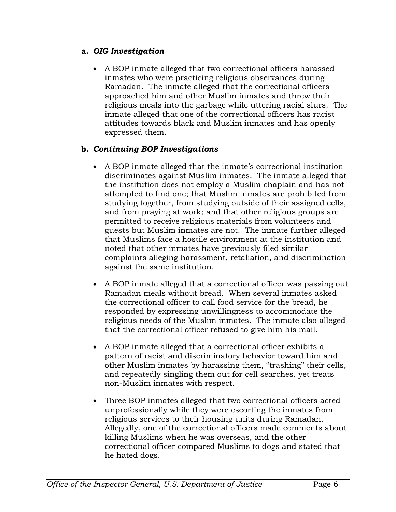#### **a.** *OIG Investigation*

• A BOP inmate alleged that two correctional officers harassed inmates who were practicing religious observances during Ramadan. The inmate alleged that the correctional officers approached him and other Muslim inmates and threw their religious meals into the garbage while uttering racial slurs. The inmate alleged that one of the correctional officers has racist attitudes towards black and Muslim inmates and has openly expressed them.

# **b.** *Continuing BOP Investigations*

- A BOP inmate alleged that the inmate's correctional institution discriminates against Muslim inmates. The inmate alleged that the institution does not employ a Muslim chaplain and has not attempted to find one; that Muslim inmates are prohibited from studying together, from studying outside of their assigned cells, and from praying at work; and that other religious groups are permitted to receive religious materials from volunteers and guests but Muslim inmates are not. The inmate further alleged that Muslims face a hostile environment at the institution and noted that other inmates have previously filed similar complaints alleging harassment, retaliation, and discrimination against the same institution.
- A BOP inmate alleged that a correctional officer was passing out Ramadan meals without bread. When several inmates asked the correctional officer to call food service for the bread, he responded by expressing unwillingness to accommodate the religious needs of the Muslim inmates. The inmate also alleged that the correctional officer refused to give him his mail.
- A BOP inmate alleged that a correctional officer exhibits a pattern of racist and discriminatory behavior toward him and other Muslim inmates by harassing them, "trashing" their cells, and repeatedly singling them out for cell searches, yet treats non-Muslim inmates with respect.
- Three BOP inmates alleged that two correctional officers acted unprofessionally while they were escorting the inmates from religious services to their housing units during Ramadan. Allegedly, one of the correctional officers made comments about killing Muslims when he was overseas, and the other correctional officer compared Muslims to dogs and stated that he hated dogs.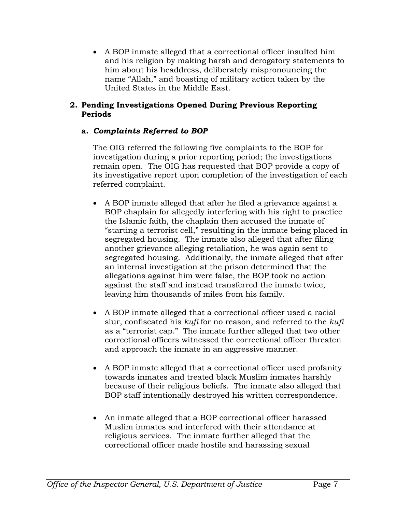• A BOP inmate alleged that a correctional officer insulted him and his religion by making harsh and derogatory statements to him about his headdress, deliberately mispronouncing the name "Allah," and boasting of military action taken by the United States in the Middle East.

#### **2. Pending Investigations Opened During Previous Reporting Periods**

#### **a.** *Complaints Referred to BOP*

The OIG referred the following five complaints to the BOP for investigation during a prior reporting period; the investigations remain open. The OIG has requested that BOP provide a copy of its investigative report upon completion of the investigation of each referred complaint.

- A BOP inmate alleged that after he filed a grievance against a BOP chaplain for allegedly interfering with his right to practice the Islamic faith, the chaplain then accused the inmate of "starting a terrorist cell," resulting in the inmate being placed in segregated housing. The inmate also alleged that after filing another grievance alleging retaliation, he was again sent to segregated housing. Additionally, the inmate alleged that after an internal investigation at the prison determined that the allegations against him were false, the BOP took no action against the staff and instead transferred the inmate twice, leaving him thousands of miles from his family.
- A BOP inmate alleged that a correctional officer used a racial slur, confiscated his *kufi* for no reason, and referred to the *kufi* as a "terrorist cap." The inmate further alleged that two other correctional officers witnessed the correctional officer threaten and approach the inmate in an aggressive manner.
- A BOP inmate alleged that a correctional officer used profanity towards inmates and treated black Muslim inmates harshly because of their religious beliefs. The inmate also alleged that BOP staff intentionally destroyed his written correspondence.
- An inmate alleged that a BOP correctional officer harassed Muslim inmates and interfered with their attendance at religious services. The inmate further alleged that the correctional officer made hostile and harassing sexual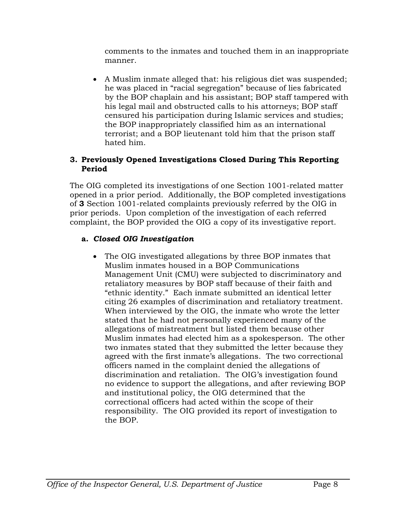comments to the inmates and touched them in an inappropriate manner.

• A Muslim inmate alleged that: his religious diet was suspended; he was placed in "racial segregation" because of lies fabricated by the BOP chaplain and his assistant; BOP staff tampered with his legal mail and obstructed calls to his attorneys; BOP staff censured his participation during Islamic services and studies; the BOP inappropriately classified him as an international terrorist; and a BOP lieutenant told him that the prison staff hated him.

#### **3. Previously Opened Investigations Closed During This Reporting Period**

The OIG completed its investigations of one Section 1001-related matter opened in a prior period. Additionally, the BOP completed investigations of **3** Section 1001-related complaints previously referred by the OIG in prior periods. Upon completion of the investigation of each referred complaint, the BOP provided the OIG a copy of its investigative report.

# **a.** *Closed OIG Investigation*

• The OIG investigated allegations by three BOP inmates that Muslim inmates housed in a BOP Communications Management Unit (CMU) were subjected to discriminatory and retaliatory measures by BOP staff because of their faith and "ethnic identity." Each inmate submitted an identical letter citing 26 examples of discrimination and retaliatory treatment. When interviewed by the OIG, the inmate who wrote the letter stated that he had not personally experienced many of the allegations of mistreatment but listed them because other Muslim inmates had elected him as a spokesperson. The other two inmates stated that they submitted the letter because they agreed with the first inmate's allegations. The two correctional officers named in the complaint denied the allegations of discrimination and retaliation. The OIG's investigation found no evidence to support the allegations, and after reviewing BOP and institutional policy, the OIG determined that the correctional officers had acted within the scope of their responsibility. The OIG provided its report of investigation to the BOP.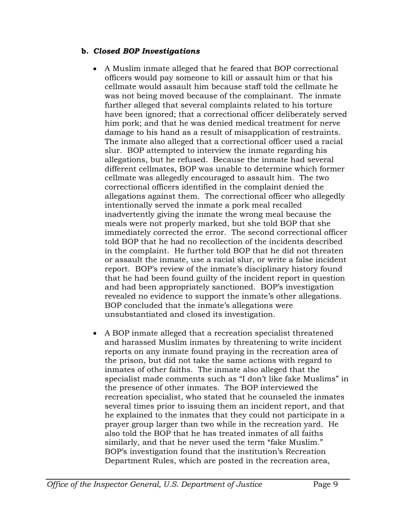#### **b.** *Closed BOP Investigations*

- A Muslim inmate alleged that he feared that BOP correctional officers would pay someone to kill or assault him or that his cellmate would assault him because staff told the cellmate he was not being moved because of the complainant. The inmate further alleged that several complaints related to his torture have been ignored; that a correctional officer deliberately served him pork; and that he was denied medical treatment for nerve damage to his hand as a result of misapplication of restraints. The inmate also alleged that a correctional officer used a racial slur. BOP attempted to interview the inmate regarding his allegations, but he refused. Because the inmate had several different cellmates, BOP was unable to determine which former cellmate was allegedly encouraged to assault him. The two correctional officers identified in the complaint denied the allegations against them. The correctional officer who allegedly intentionally served the inmate a pork meal recalled inadvertently giving the inmate the wrong meal because the meals were not properly marked, but she told BOP that she immediately corrected the error. The second correctional officer told BOP that he had no recollection of the incidents described in the complaint. He further told BOP that he did not threaten or assault the inmate, use a racial slur, or write a false incident report. BOP's review of the inmate's disciplinary history found that he had been found guilty of the incident report in question and had been appropriately sanctioned. BOP's investigation revealed no evidence to support the inmate's other allegations. BOP concluded that the inmate's allegations were unsubstantiated and closed its investigation.
- A BOP inmate alleged that a recreation specialist threatened and harassed Muslim inmates by threatening to write incident reports on any inmate found praying in the recreation area of the prison, but did not take the same actions with regard to inmates of other faiths. The inmate also alleged that the specialist made comments such as "I don't like fake Muslims" in the presence of other inmates. The BOP interviewed the recreation specialist, who stated that he counseled the inmates several times prior to issuing them an incident report, and that he explained to the inmates that they could not participate in a prayer group larger than two while in the recreation yard. He also told the BOP that he has treated inmates of all faiths similarly, and that he never used the term "fake Muslim." BOP's investigation found that the institution's Recreation Department Rules, which are posted in the recreation area,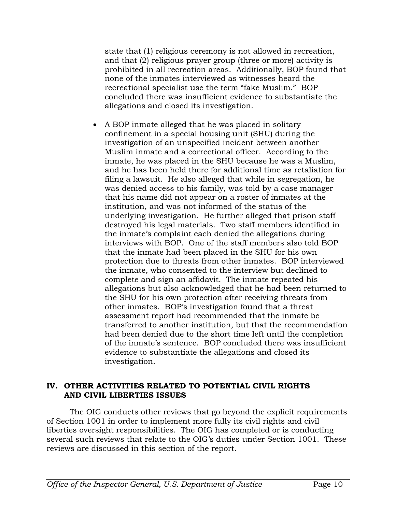state that (1) religious ceremony is not allowed in recreation, and that (2) religious prayer group (three or more) activity is prohibited in all recreation areas. Additionally, BOP found that none of the inmates interviewed as witnesses heard the recreational specialist use the term "fake Muslim." BOP concluded there was insufficient evidence to substantiate the allegations and closed its investigation.

• A BOP inmate alleged that he was placed in solitary confinement in a special housing unit (SHU) during the investigation of an unspecified incident between another Muslim inmate and a correctional officer. According to the inmate, he was placed in the SHU because he was a Muslim, and he has been held there for additional time as retaliation for filing a lawsuit. He also alleged that while in segregation, he was denied access to his family, was told by a case manager that his name did not appear on a roster of inmates at the institution, and was not informed of the status of the underlying investigation. He further alleged that prison staff destroyed his legal materials. Two staff members identified in the inmate's complaint each denied the allegations during interviews with BOP. One of the staff members also told BOP that the inmate had been placed in the SHU for his own protection due to threats from other inmates. BOP interviewed the inmate, who consented to the interview but declined to complete and sign an affidavit. The inmate repeated his allegations but also acknowledged that he had been returned to the SHU for his own protection after receiving threats from other inmates. BOP's investigation found that a threat assessment report had recommended that the inmate be transferred to another institution, but that the recommendation had been denied due to the short time left until the completion of the inmate's sentence. BOP concluded there was insufficient evidence to substantiate the allegations and closed its investigation.

#### **IV. OTHER ACTIVITIES RELATED TO POTENTIAL CIVIL RIGHTS AND CIVIL LIBERTIES ISSUES**

The OIG conducts other reviews that go beyond the explicit requirements of Section 1001 in order to implement more fully its civil rights and civil liberties oversight responsibilities. The OIG has completed or is conducting several such reviews that relate to the OIG's duties under Section 1001. These reviews are discussed in this section of the report.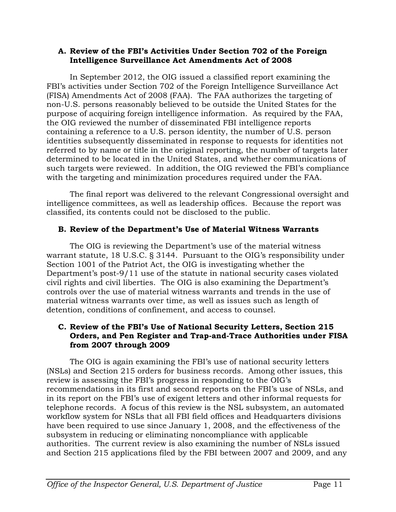#### **A. Review of the FBI's Activities Under Section 702 of the Foreign Intelligence Surveillance Act Amendments Act of 2008**

In September 2012, the OIG issued a classified report examining the FBI's activities under Section 702 of the Foreign Intelligence Surveillance Act (FISA) Amendments Act of 2008 (FAA). The FAA authorizes the targeting of non-U.S. persons reasonably believed to be outside the United States for the purpose of acquiring foreign intelligence information. As required by the FAA, the OIG reviewed the number of disseminated FBI intelligence reports containing a reference to a U.S. person identity, the number of U.S. person identities subsequently disseminated in response to requests for identities not referred to by name or title in the original reporting, the number of targets later determined to be located in the United States, and whether communications of such targets were reviewed. In addition, the OIG reviewed the FBI's compliance with the targeting and minimization procedures required under the FAA.

The final report was delivered to the relevant Congressional oversight and intelligence committees, as well as leadership offices. Because the report was classified, its contents could not be disclosed to the public.

# **B. Review of the Department's Use of Material Witness Warrants**

The OIG is reviewing the Department's use of the material witness warrant statute, 18 U.S.C. § 3144. Pursuant to the OIG's responsibility under Section 1001 of the Patriot Act, the OIG is investigating whether the Department's post-9/11 use of the statute in national security cases violated civil rights and civil liberties. The OIG is also examining the Department's controls over the use of material witness warrants and trends in the use of material witness warrants over time, as well as issues such as length of detention, conditions of confinement, and access to counsel.

#### **C. Review of the FBI's Use of National Security Letters, Section 215 Orders, and Pen Register and Trap-and-Trace Authorities under FISA from 2007 through 2009**

The OIG is again examining the FBI's use of national security letters (NSLs) and Section 215 orders for business records. Among other issues, this review is assessing the FBI's progress in responding to the OIG's recommendations in its first and second reports on the FBI's use of NSLs, and in its report on the FBI's use of exigent letters and other informal requests for telephone records. A focus of this review is the NSL subsystem, an automated workflow system for NSLs that all FBI field offices and Headquarters divisions have been required to use since January 1, 2008, and the effectiveness of the subsystem in reducing or eliminating noncompliance with applicable authorities. The current review is also examining the number of NSLs issued and Section 215 applications filed by the FBI between 2007 and 2009, and any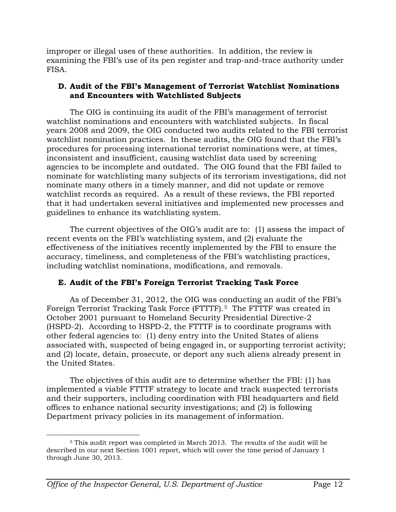improper or illegal uses of these authorities. In addition, the review is examining the FBI's use of its pen register and trap-and-trace authority under FISA.

#### **D. Audit of the FBI's Management of Terrorist Watchlist Nominations and Encounters with Watchlisted Subjects**

The OIG is continuing its audit of the FBI's management of terrorist watchlist nominations and encounters with watchlisted subjects. In fiscal years 2008 and 2009, the OIG conducted two audits related to the FBI terrorist watchlist nomination practices. In these audits, the OIG found that the FBI's procedures for processing international terrorist nominations were, at times, inconsistent and insufficient, causing watchlist data used by screening agencies to be incomplete and outdated. The OIG found that the FBI failed to nominate for watchlisting many subjects of its terrorism investigations, did not nominate many others in a timely manner, and did not update or remove watchlist records as required. As a result of these reviews, the FBI reported that it had undertaken several initiatives and implemented new processes and guidelines to enhance its watchlisting system.

The current objectives of the OIG's audit are to: (1) assess the impact of recent events on the FBI's watchlisting system, and (2) evaluate the effectiveness of the initiatives recently implemented by the FBI to ensure the accuracy, timeliness, and completeness of the FBI's watchlisting practices, including watchlist nominations, modifications, and removals.

# **E. Audit of the FBI's Foreign Terrorist Tracking Task Force**

As of December 31, 2012, the OIG was conducting an audit of the FBI's Foreign Terrorist Tracking Task Force (FTTTF).[5](#page-12-0) The FTTTF was created in October 2001 pursuant to Homeland Security Presidential Directive-2 (HSPD-2). According to HSPD-2, the FTTTF is to coordinate programs with other federal agencies to: (1) deny entry into the United States of aliens associated with, suspected of being engaged in, or supporting terrorist activity; and (2) locate, detain, prosecute, or deport any such aliens already present in the United States.

The objectives of this audit are to determine whether the FBI: (1) has implemented a viable FTTTF strategy to locate and track suspected terrorists and their supporters, including coordination with FBI headquarters and field offices to enhance national security investigations; and (2) is following Department privacy policies in its management of information.

<span id="page-12-0"></span> <sup>5</sup> This audit report was completed in March 2013. The results of the audit will be described in our next Section 1001 report, which will cover the time period of January 1 through June 30, 2013.